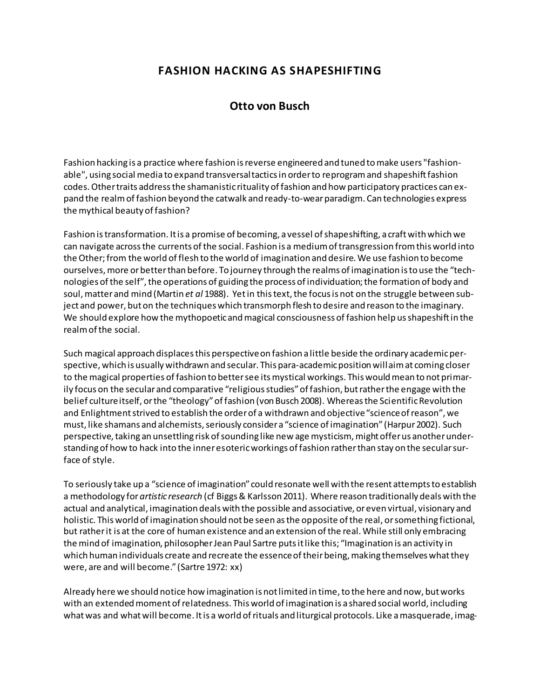## **FASHION HACKING AS SHAPESHIFTING**

## **Otto von Busch**

Fashion hacking is a practice where fashion is reverse engineered and tuned to make users "fashionable", using social media to expand transversal tactics in order to reprogram and shapeshift fashion codes. Other traits address the shamanistic rituality of fashion and how participatory practices can expand the realm of fashion beyond the catwalk and ready-to-wear paradigm. Can technologies express the mythical beauty of fashion?

Fashion is transformation. It is a promise of becoming, a vessel of shapeshifting, a craft with which we can navigate across the currents of the social. Fashion is a medium of transgression from this world into the Other; from the world of flesh to the world of imagination and desire. We use fashion to become ourselves, more or better than before. To journey through the realms of imagination is to use the "technologies of the self", the operations of guiding the process of individuation; the formation of body and soul, matter and mind (Martin *et al* 1988). Yet in this text, the focus is not on the struggle between subject and power, but on the techniques which transmorph flesh to desire and reason to the imaginary. We should explore how the mythopoetic and magical consciousness of fashion help us shapeshift in the realm of the social.

Such magical approach displaces this perspective on fashion a little beside the ordinary academic perspective, which is usually withdrawn and secular. This para-academic position will aim at coming closer to the magical properties of fashion to better see its mystical workings. This would mean to not primarily focus on the secular and comparative "religious studies" of fashion, but rather the engage with the belief culture itself, or the "theology" of fashion (von Busch 2008). Whereas the Scientific Revolution and Enlightment strived to establish the order of a withdrawn and objective "science of reason", we must, like shamans and alchemists, seriously consider a "science of imagination" (Harpur 2002). Such perspective, taking an unsettling risk of sounding like new age mysticism, might offer us another understanding of how to hack into the inner esoteric workings of fashion rather than stay on the secular surface of style.

To seriously take up a "science of imagination" could resonate well with the resent attempts to establish a methodology for*artistic research* (cf Biggs & Karlsson 2011). Where reason traditionally deals with the actual and analytical, imagination deals with the possible and associative, or even virtual, visionary and holistic. This world of imagination should not be seen as the opposite of the real, or something fictional, but rather it is at the core of human existence and an extension of the real. While still only embracing the mind of imagination, philosopher Jean Paul Sartre puts it like this; "Imagination is an activity in which human individuals create and recreate the essence of their being, making themselves what they were, are and will become." (Sartre 1972: xx)

Already here we should notice how imagination is not limited in time, to the here and now, but works with an extended moment of relatedness. This world of imagination is a shared social world, including what was and what will become. It is a world of rituals and liturgical protocols. Like a masquerade, imag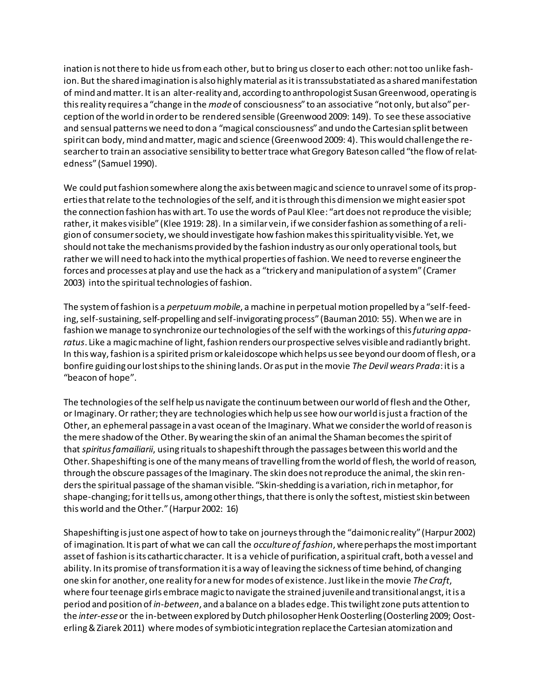ination is not there to hide us from each other, but to bring us closer to each other: not too unlike fashion. But the shared imagination is also highly material as it is transsubstatiated as a shared manifestation of mind and matter. It is an alter-reality and, according to anthropologist Susan Greenwood, operating is this reality requires a "change in the *mode*of consciousness" to an associative "not only, but also" perception of the world in order to be rendered sensible (Greenwood 2009: 149). To see these associative and sensual patterns we need to don a "magical consciousness" and undo the Cartesian split between spirit can body, mind and matter, magic and science (Greenwood 2009: 4). This would challenge the researcher to train an associative sensibility to better trace what Gregory Bateson called "the flow of relatedness" (Samuel 1990).

We could put fashion somewhere along the axis between magic and science to unravel some of its properties that relate to the technologies of the self, and it is through this dimension we might easier spot the connection fashion has with art. To use the words of Paul Klee: "art does not reproduce the visible; rather, it makes visible" (Klee 1919: 28). In a similar vein, if we consider fashion as something of a religion of consumer society, we should investigate how fashion makes this spirituality visible. Yet, we should not take the mechanisms provided by the fashion industry as ouronly operational tools, but rather we will need to hack into the mythical properties of fashion. We need to reverse engineer the forces and processes at play and use the hack as a "trickery and manipulation of a system" (Cramer 2003) into the spiritual technologies of fashion.

The system of fashion is a *perpetuum mobile*, a machine in perpetual motion propelled by a "self-feeding, self-sustaining, self-propelling and self-invigorating process" (Bauman 2010: 55). When we are in fashion we manage to synchronize our technologies of the self with the workings of this*futuring apparatus*. Like a magic machine of light, fashion renders our prospective selves visible and radiantly bright. In this way, fashion is a spirited prism or kaleidoscope which helps us see beyond our doom of flesh, or a bonfire guiding our lost ships to the shining lands. Or as put in the movie *The Devil wears Prada*: it is a "beacon of hope".

The technologies of the self help us navigate the continuum between our world of flesh and the Other, or Imaginary. Or rather; they are technologies which help us see how our world is just a fraction of the Other, an ephemeral passage in a vast ocean of the Imaginary. What we consider the world of reason is the mere shadow of the Other. By wearing the skin of an animal the Shaman becomes the spirit of that *spiritus famailiarii*, using rituals to shapeshift through the passages between this world and the Other. Shapeshifting is one of the many means of travelling from the world of flesh, the world of reason, through the obscure passages of the Imaginary. The skin does not reproduce the animal, the skin renders the spiritual passage of the shaman visible. "Skin-shedding is a variation, rich in metaphor, for shape-changing; for it tells us, among other things, that there is only the softest, mistiest skin between this world and the Other." (Harpur 2002: 16)

Shapeshifting is just one aspect of how to take on journeys through the "daimonic reality" (Harpur 2002) of imagination. It is part of what we can call the *occulture of fashion*, where perhaps the most important asset of fashion is its cathartic character. It is a vehicle of purification, a spiritual craft, both a vessel and ability. In its promise of transformation it is a way of leaving the sickness of time behind, of changing one skin for another, one reality for a new for modes of existence. Just like in the movie *The Craft*, where four teenage girls embrace magic to navigate the strained juvenile and transitional angst, it is a period and position of *in-between*, and a balance on a blades edge. This twilight zone puts attention to the *inter-esse*or the in-between explored by Dutch philosopher Henk Oosterling (Oosterling 2009; Oosterling & Ziarek 2011) where modes of symbiotic integration replace the Cartesian atomization and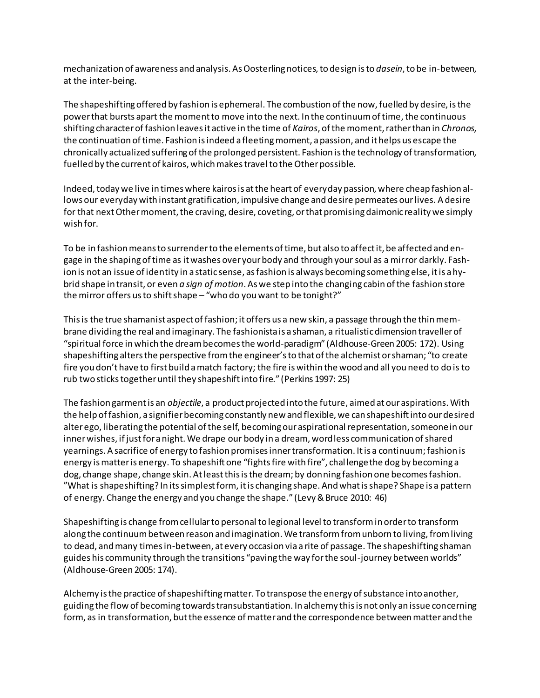mechanization of awareness and analysis. As Oosterling notices, to design is to *dasein*, to be in-between, at the inter-being.

The shapeshifting offered by fashion is ephemeral. The combustion of the now, fuelled by desire, is the power that bursts apart the moment to move into the next. In the continuum of time, the continuous shifting character of fashion leaves it active in the time of *Kairos*, of the moment, rather than in *Chronos*, the continuation of time. Fashion is indeed a fleeting moment, a passion, and it helps us escape the chronically actualized suffering of the prolonged persistent. Fashion is the technology of transformation, fuelled by the current of kairos, which makes travel to the Other possible.

Indeed, today we live in times where kairos is at the heart of everyday passion, where cheap fashion allows our everyday with instant gratification, impulsive change and desire permeates our lives. A desire for that next Other moment, the craving, desire, coveting, or that promising daimonic reality we simply wish for.

To be in fashion means to surrender to the elements of time, but also to affect it, be affected and engage in the shaping of time as it washes over your body and through your soul as a mirror darkly. Fashion is not an issue of identity in a static sense, as fashion is always becoming something else, it is a hybrid shape in transit, or even *a sign of motion*. As we step into the changing cabin of the fashion store the mirror offers us to shift shape – "who do you want to be tonight?"

This is the true shamanist aspect of fashion; it offers us a new skin, a passage through the thin membrane dividing the real and imaginary. The fashionista is a shaman, a ritualistic dimension traveller of "spiritual force in which the dream becomes the world-paradigm" (Aldhouse-Green 2005: 172). Using shapeshifting alters the perspective from the engineer's to that of the alchemist or shaman; "to create fire you don't have to first build a match factory; the fire is within the wood and all you need to do is to rub two sticks together until they shapeshift into fire." (Perkins 1997: 25)

The fashion garment is an *objectile*, a product projected into the future, aimed at our aspirations. With the help of fashion, a signifier becoming constantly new and flexible, we can shapeshift into our desired alter ego, liberating the potential of the self, becoming our aspirational representation, someone in our inner wishes, if just for a night. We drape our body in a dream, wordless communication of shared yearnings. A sacrifice of energy to fashion promises inner transformation. It is a continuum; fashion is energy is matter is energy. To shapeshift one "fights fire with fire", challenge the dog by becoming a dog, change shape, change skin. At least this is the dream; by donning fashion one becomes fashion. "What is shapeshifting? In its simplest form, it is changing shape. And what is shape? Shape is a pattern of energy. Change the energy and you change the shape." (Levy & Bruce 2010: 46)

Shapeshifting is change from cellular to personal to legional level to transform in order to transform along the continuum between reason and imagination. We transform from unborn to living, from living to dead, and many times in-between, at every occasion via a rite of passage. The shapeshifting shaman guides his community through the transitions "paving the way for the soul-journey between worlds" (Aldhouse-Green 2005: 174).

Alchemy is the practice of shapeshifting matter. To transpose the energy of substance into another, guiding the flow of becoming towards transubstantiation. In alchemy this is not only an issue concerning form, as in transformation, but the essence of matter and the correspondence between matter and the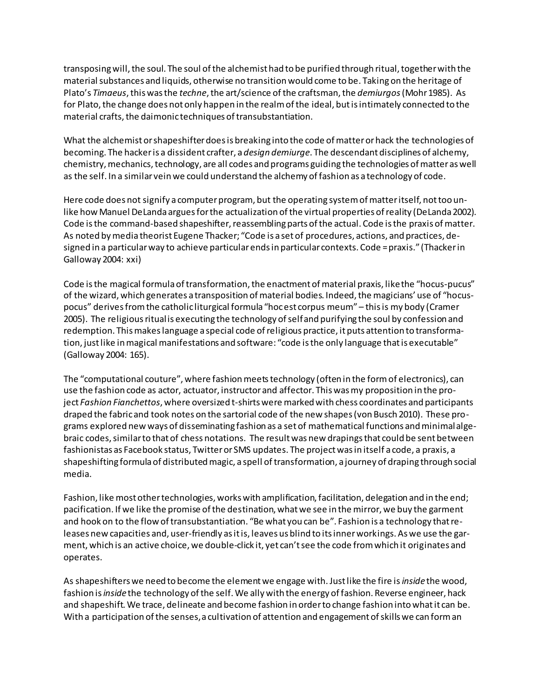transposing will, the soul. The soul of the alchemist had to be purified through ritual, together with the material substances and liquids, otherwise no transition would come to be. Taking on the heritage of Plato's *Timaeus*, this was the *techne*, the art/science of the craftsman, the *demiurgos*(Mohr 1985). As for Plato, the change does not only happen in the realm of the ideal, but is intimately connected to the material crafts, the daimonic techniques of transubstantiation.

What the alchemist or shapeshifter does is breaking into the code of matter or hack the technologies of becoming. The hacker is a dissident crafter, a *design demiurge*. The descendant disciplines of alchemy, chemistry, mechanics, technology, are all codes and programs guiding the technologies of matter as well as the self. In a similar vein we could understand the alchemy of fashion as a technology of code.

Here code does not signify a computer program, but the operating system of matter itself, not too unlike how Manuel DeLanda argues for the actualization of the virtual properties of reality (DeLanda 2002). Code is the command-based shapeshifter, reassembling parts of the actual. Code is the praxis of matter. As noted by media theorist Eugene Thacker; "Code is a set of procedures, actions, and practices, designed in a particular way to achieve particular ends in particular contexts. Code = praxis." (Thacker in Galloway 2004: xxi)

Code is the magical formula of transformation, the enactment of material praxis, like the "hocus-pucus" of the wizard, which generates a transposition of material bodies. Indeed, the magicians' use of "hocuspocus" derives from the catholic liturgical formula "hoc est corpus meum" – this is my body (Cramer 2005). The religious ritual is executing the technology of self and purifying the soul by confession and redemption. This makes language a special code of religious practice, it puts attention to transformation, just like in magical manifestations and software: "code is the only language that is executable" (Galloway 2004: 165).

The "computational couture", where fashion meets technology (often in the form of electronics), can use the fashion code as actor, actuator, instructor and affector. This was my proposition in the project *Fashion Fianchettos*, where oversized t-shirts were marked with chess coordinates and participants draped the fabric and took notes on the sartorial code of the new shapes (von Busch 2010). These programs explored new ways of disseminating fashion as a set of mathematical functions and minimal algebraic codes, similar to that of chess notations. The result was new drapings that could be sent between fashionistas as Facebook status, Twitter or SMS updates. The project was in itself a code, a praxis, a shapeshifting formula of distributed magic, a spell of transformation, a journey of draping through social media.

Fashion, like most other technologies, works with amplification, facilitation, delegation and in the end; pacification. If we like the promise of the destination, what we see in the mirror, we buy the garment and hook on to the flow of transubstantiation. "Be what you can be". Fashion is a technology that releases new capacities and, user-friendly as it is, leaves us blind to its inner workings. As we use the garment, which is an active choice, we double-click it, yet can't see the code from which it originates and operates.

As shapeshifters we need to become the element we engage with. Just like the fire is*inside* the wood, fashion is*inside* the technology of the self. We ally with the energy of fashion. Reverse engineer, hack and shapeshift. We trace, delineate and become fashion in order to change fashion into what it can be. With a participation of the senses, a cultivation of attention and engagement of skills we can form an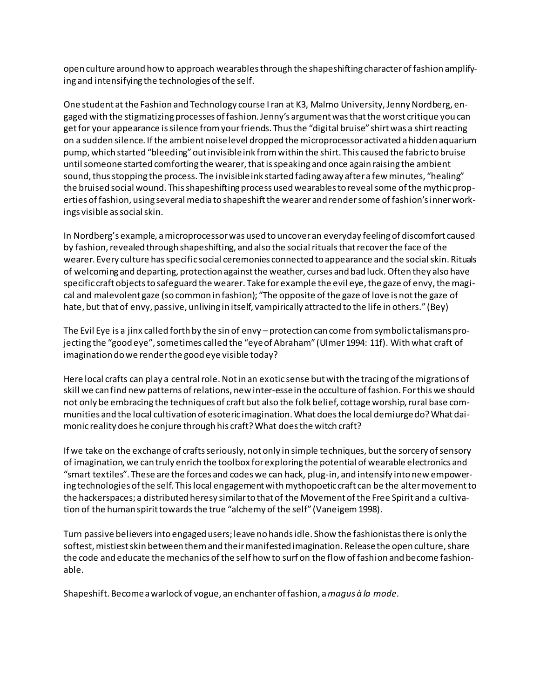open culture around how to approach wearables through the shapeshifting character of fashion amplifying and intensifying the technologies of the self.

One student at the Fashion and Technology course I ran at K3, Malmo University, Jenny Nordberg, engaged with the stigmatizing processes of fashion. Jenny's argument was that the worst critique you can get for your appearance is silence from your friends. Thus the "digital bruise" shirt was a shirt reacting on a sudden silence. If the ambient noise level dropped the microprocessor activated a hidden aquarium pump, which started "bleeding" out invisible ink from within the shirt. This caused the fabric to bruise until someone started comforting the wearer, that is speaking and once again raising the ambient sound, thus stopping the process. The invisible ink started fading away after a few minutes, "healing" the bruised social wound. This shapeshifting process used wearables to reveal some of the mythic properties of fashion, using several media to shapeshift the wearer and render some of fashion's inner workings visible as social skin.

In Nordberg's example, a microprocessor was used to uncover an everyday feeling of discomfort caused by fashion, revealed through shapeshifting, and also the social rituals that recover the face of the wearer. Every culture has specific social ceremonies connected to appearance and the social skin. Rituals of welcoming and departing, protection against the weather, curses and bad luck. Often they also have specific craft objects to safeguard the wearer. Take for example the evil eye, the gaze of envy, the magical and malevolent gaze (so common in fashion); "The opposite of the gaze of love is not the gaze of hate, but that of envy, passive, unliving in itself, vampirically attracted to the life in others." (Bey)

The Evil Eye is a jinx called forth by the sin of envy – protection can come from symbolic talismans projecting the "good eye", sometimes called the "eye of Abraham" (Ulmer 1994: 11f). With what craft of imagination do we render the good eye visible today?

Here local crafts can play a central role. Not in an exotic sense but with the tracing of the migrations of skill we can find new patterns of relations, new inter-esse in the occulture of fashion. For this we should not only be embracing the techniques of craft but also the folk belief, cottage worship, rural base communities and the local cultivation of esoteric imagination. What does the local demiurge do? What daimonic reality does he conjure through his craft? What does the witch craft?

If we take on the exchange of crafts seriously, not only in simple techniques, but the sorcery of sensory of imagination, we can truly enrich the toolbox for exploring the potential of wearable electronics and "smart textiles". These are the forces and codes we can hack, plug-in, and intensify into new empowering technologies of the self. This local engagement with mythopoetic craft can be the alter movement to the hackerspaces; a distributed heresy similar to that of the Movement of the Free Spirit and a cultivation of the human spirit towards the true "alchemy of the self" (Vaneigem 1998).

Turn passive believers into engaged users; leave no hands idle. Show the fashionistas there is only the softest, mistiest skin between them and their manifested imagination. Release the open culture, share the code and educate the mechanics of the self how to surf on the flow of fashion and become fashionable.

Shapeshift. Become a warlock of vogue, an enchanter of fashion, a*magus à la mode*.